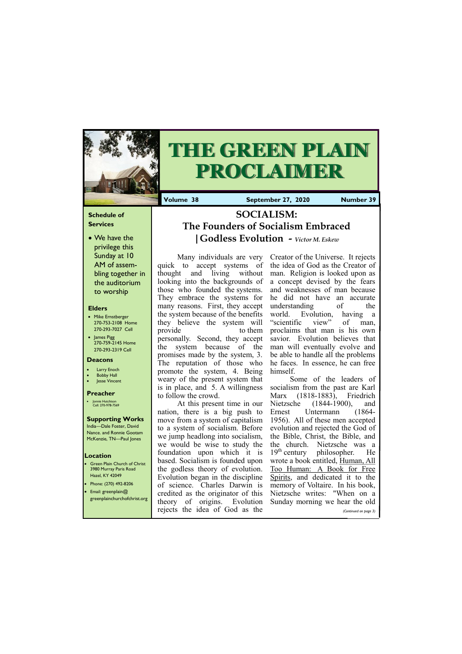### **Schedule of Services**

• We have the privilege this Sunday at 10 AM of assembling together in the auditorium to worship

#### **Elders**

- **Green Plain Church of Christ** 3980 Murray Paris Road Hazel, KY 42049 • Phone: (270) 492-8206
- Email: greenplain@
- Mike Ernstberger 270-753-2108 Home 270-293-7027 Cell
- James Pigg 270-759-2145 Home 270-293-2319 Cell

#### **Location**



# **THE GREEN PLAIN PROCLAIMER**

**Volume 38 September 27, 2020 Number 39**

#### **Deacons**

- **Larry Enoch**
- **Bobby Hall**
- **Jesse Vincent**

#### **Preacher**

• Jonnie Hutchison Cell: 270-978-7569

# **Supporting Works**

India—Dale Foster, David Nance. and Ronnie Gootam McKenzie, TN—Paul Jones

Many individuals are very quick to accept systems of thought and living without looking into the backgrounds of those who founded the systems. They embrace the systems for many reasons. First, they accept the system because of the benefits they believe the system will provide to them personally. Second, they accept the system because of the promises made by the system, 3. The reputation of those who promote the system, 4. Being weary of the present system that is in place, and 5. A willingness to follow the crowd.

At this present time in our nation, there is a big push to move from a system of capitalism to a system of socialism. Before we jump headlong into socialism, we would be wise to study the foundation upon which it is based. Socialism is founded upon the godless theory of evolution. Evolution began in the discipline of science. Charles Darwin is credited as the originator of this

|                                | <u>credited as the originator of this executed writes. When on a</u><br>greenplainchurchofchrist.org theory of origins. Evolution Sunday morning we hear the old |
|--------------------------------|------------------------------------------------------------------------------------------------------------------------------------------------------------------|
| rejects the idea of God as the | (Continued on page 3)                                                                                                                                            |

Creator of the Universe. It rejects the idea of God as the Creator of man. Religion is looked upon as a concept devised by the fears and weaknesses of man because he did not have an accurate understanding of the world. Evolution, having a "scientific view" of man, proclaims that man is his own savior. Evolution believes that man will eventually evolve and be able to handle all the problems he faces. In essence, he can free himself.

Some of the leaders of socialism from the past are Karl Marx (1818-1883), Friedrich Nietzsche (1844-1900), and Ernest Untermann (1864- 1956). All of these men accepted evolution and rejected the God of the Bible, Christ, the Bible, and the church. Nietzsche was a  $19<sup>th</sup>$  century philosopher. He wrote a book entitled, Human, All Too Human: A Book for Free Spirits, and dedicated it to the memory of Voltaire. In his book, Nietzsche writes: "When on a

**SOCIALISM: The Founders of Socialism Embraced |Godless Evolution** *- Victor M. Eskew*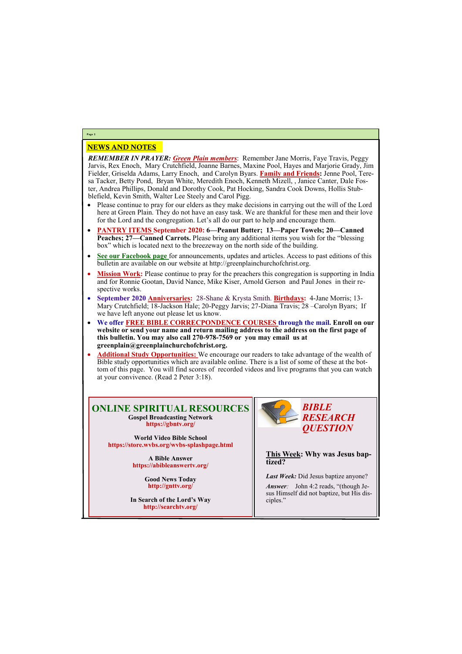## NEWS AND NOTES

*REMEMBER IN PRAYER: Green Plain members*: Remember Jane Morris, Faye Travis, Peggy Jarvis, Rex Enoch, Mary Crutchfield, Joanne Barnes, Maxine Pool, Hayes and Marjorie Grady, Jim Fielder, Griselda Adams, Larry Enoch, and Carolyn Byars. **Family and Friends:** Jenne Pool, Teresa Tacker, Betty Pond, Bryan White, Meredith Enoch, Kenneth Mizell, , Janice Canter, Dale Foster, Andrea Phillips, Donald and Dorothy Cook, Pat Hocking, Sandra Cook Downs, Hollis Stubblefield, Kevin Smith, Walter Lee Steely and Carol Pigg.

- Please continue to pray for our elders as they make decisions in carrying out the will of the Lord here at Green Plain. They do not have an easy task. We are thankful for these men and their love for the Lord and the congregation. Let's all do our part to help and encourage them.
- **PANTRY ITEMS September 2020: 6—Peanut Butter; 13—Paper Towels; 20—Canned Peaches; 27—Canned Carrots.** Please bring any additional items you wish for the "blessing box" which is located next to the breezeway on the north side of the building.
- **See our Facebook page** for announcements, updates and articles. Access to past editions of this bulletin are available on our website at http://greenplainchurchofchrist.org.
- Mission Work: Please continue to pray for the preachers this congregation is supporting in India and for Ronnie Gootan, David Nance, Mike Kiser, Arnold Gerson and Paul Jones in their respective works.
- **September 2020 Anniversaries:** 28-Shane & Krysta Smith. **Birthdays:** 4-Jane Morris; 13- Mary Crutchfield; 18-Jackson Hale; 20-Peggy Jarvis; 27-Diana Travis; 28 –Carolyn Byars; If we have left anyone out please let us know.
- **We offer FREE BIBLE CORRECPONDENCE COURSES through the mail. Enroll on our website or send your name and return mailing address to the address on the first page of this bulletin. You may also call 270-978-7569 or you may email us at greenplain@greenplainchurchofchrist.org.**
- **Additional Study Opportunities:** We encourage our readers to take advantage of the wealth of Bible study opportunities which are available online. There is a list of some of these at the bottom of this page. You will find scores of recorded videos and live programs that you can watch at your convivence. (Read 2 Peter 3:18).

# **Page 2**

**ONLINE SPIRITUAL RESOURCES Gospel Broadcasting Network https://gbntv.org/**

**World Video Bible School https://store.wvbs.org/wvbs-splashpage.html**

> **A Bible Answer https://abibleanswertv.org/**

> > **Good News Today http://gnttv.org/**

**In Search of the Lord's Way http://searchtv.org/**



**This Week: Why was Jesus baptized?**

*Last Week:* Did Jesus baptize anyone?

*Answer:* John 4:2 reads, "(though Jesus Himself did not baptize, but His disciples."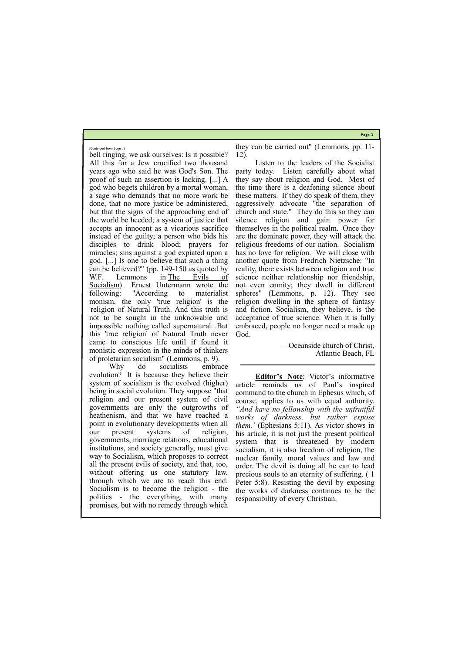**Page 3**

bell ringing, we ask ourselves: Is it possible? All this for a Jew crucified two thousand years ago who said he was God's Son. The proof of such an assertion is lacking. [...] A god who begets children by a mortal woman, a sage who demands that no more work be done, that no more justice be administered, but that the signs of the approaching end of the world be heeded; a system of justice that accepts an innocent as a vicarious sacrifice instead of the guilty; a person who bids his disciples to drink blood; prayers for miracles; sins against a god expiated upon a god. [...] Is one to believe that such a thing can be believed?" (pp. 149-150 as quoted by W.F. Lemmons in The Evils of Socialism). Ernest Untermann wrote the following: "According to materialist monism, the only 'true religion' is the 'religion of Natural Truth. And this truth is not to be sought in the unknowable and impossible nothing called supernatural...But this 'true religion' of Natural Truth never came to conscious life until if found it monistic expression in the minds of thinkers of proletarian socialism" (Lemmons, p. 9).

Why do socialists embrace evolution? It is because they believe their system of socialism is the evolved (higher) being in social evolution. They suppose "that religion and our present system of civil governments are only the outgrowths of heathenism, and that we have reached a point in evolutionary developments when all our present systems of religion, governments, marriage relations, educational institutions, and society generally, must give way to Socialism, which proposes to correct all the present evils of society, and that, too, without offering us one statutory law, through which we are to reach this end: Socialism is to become the religion - the

they can be carried out" (Lemmons, pp. 11- 12).

Listen to the leaders of the Socialist party today. Listen carefully about what they say about religion and God. Most of the time there is a deafening silence about these matters. If they do speak of them, they aggressively advocate "the separation of church and state." They do this so they can silence religion and gain power for themselves in the political realm. Once they are the dominate power, they will attack the religious freedoms of our nation. Socialism has no love for religion. We will close with another quote from Fredrich Nietzsche: "In reality, there exists between religion and true science neither relationship nor friendship, not even enmity; they dwell in different spheres" (Lemmons, p. 12). They see religion dwelling in the sphere of fantasy and fiction. Socialism, they believe, is the acceptance of true science. When it is fully embraced, people no longer need a made up God.

politics - the everything, with many promises, but with no remedy through which responsibility of every Christian.

—Oceanside church of Christ, Atlantic Beach, FL

**Editor's Note**: Victor's informative article reminds us of Paul's inspired command to the church in Ephesus which, of course, applies to us with equal authority. *"And have no fellowship with the unfruitful works of darkness, but rather expose them.'* (Ephesians 5:11). As victor shows in his article, it is not just the present political system that is threatened by modern socialism, it is also freedom of religion, the nuclear family. moral values and law and order. The devil is doing all he can to lead precious souls to an eternity of suffering. ( 1 Peter 5:8). Resisting the devil by exposing the works of darkness continues to be the

*(Continued from page 1)*